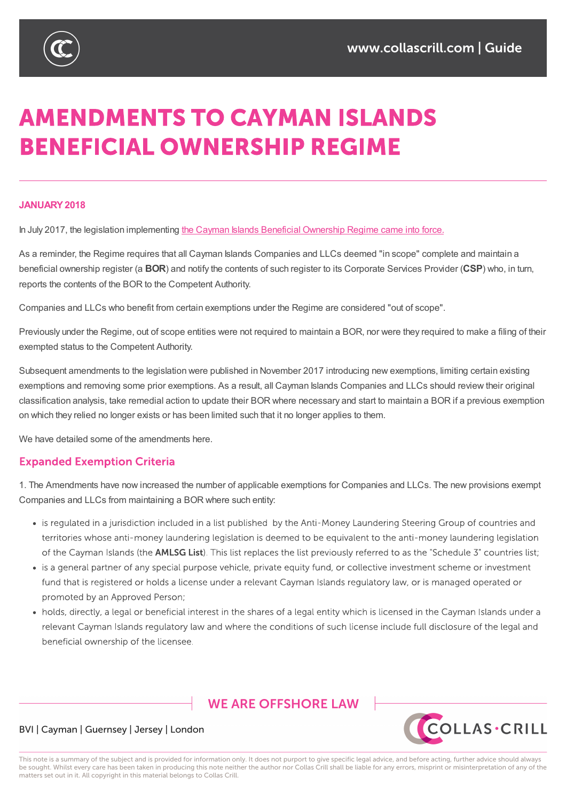

# **AMENDMENTS TO CAYMAN ISLANDS BENEFICIAL OWNERSHIP REGIME**

#### **JANUARY2018**

In July 2017, the legislation implementing the Cayman Islands Beneficial Ownership Regime came into force.

As a reminder, the Regime requires that all Cayman Islands Companies and LLCs deemed "in scope" complete and maintain a beneficial ownership register (a **BOR**) and notify the contents of such register to its Corporate Services Provider (**CSP**) who, in turn, reports the contents of the BOR to the Competent [Authority.](https://www.collascrill.com/news/updates/the-new-cayman-islands-beneficial-ownership-register-regime/)

Companies and LLCs who benefit from certain exemptions under the Regime are considered "out of scope".

Previously under the Regime, out of scope entities were not required to maintain a BOR, nor were they required to make a filing of their exempted status to the Competent Authority.

Subsequent amendments to the legislation were published in November 2017 introducing new exemptions, limiting certain existing exemptions and removing some prior exemptions. As a result, all Cayman Islands Companies and LLCs should review their original classification analysis, take remedial action to update their BOR where necessary and start to maintain a BOR if a previous exemption on which they relied no longer exists or has been limited such that it no longer applies to them.

We have detailed some of the amendments here.

#### **Expanded Exemption Criteria**

1. The Amendments have now increased the number of applicable exemptions for Companies and LLCs. The new provisions exempt Companies and LLCs from maintaining a BOR where such entity:

- is regulated in a jurisdiction included in a list published by the Anti-Money Laundering Steering Group of countries and territories whose anti-money laundering legislation is deemed to be equivalent to the anti-money laundering legislation of the Cayman Islands (the **AMLSG List)**. This list replaces the list previously referred to as the "Schedule 3" countries list;
- is a general partner of any special purpose vehicle, private equity fund, or collective investment scheme or investment fund that is registered or holds a license under a relevant Cayman Islands regulatory law, or is managed operated or promoted by an Approved Person;
- holds, directly, a legal or beneficial interest in the shares of a legal entity which is licensed in the Cayman Islands under a relevant Cayman Islands regulatory law and where the conditions of such license include full disclosure of the legal and beneficial ownership of the licensee.

## **WE ARE OFFSHORE LAW**



#### BVI | Cayman | Guernsey | Jersey | London

This note is a summary of the subject and is provided for information only. It does not purport to give specific legal advice, and before acting, further advice should always be sought. Whilst every care has been taken in producing this note neither the author nor Collas Crill shall be liable for any errors, misprint or misinterpretation of any of the matters set out in it. All copyright in this material belongs to Collas Crill.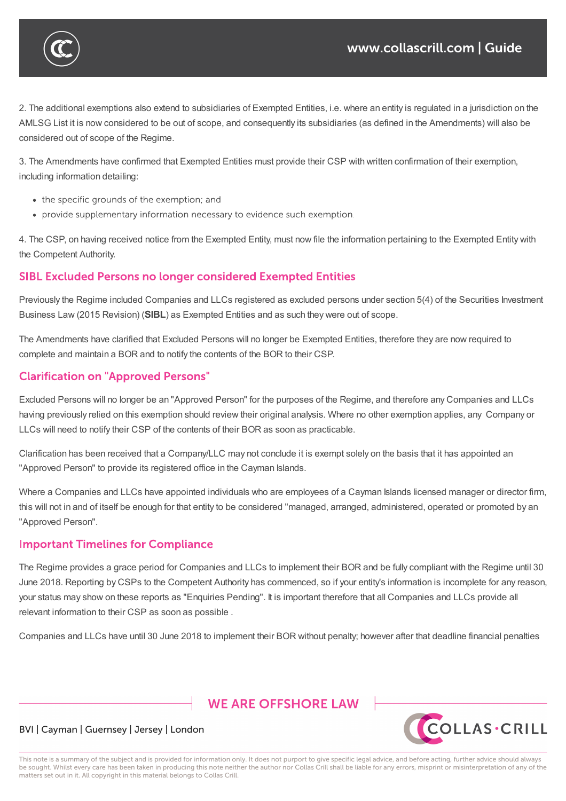

2. The additional exemptions also extend to subsidiaries of Exempted Entities, i.e. where an entity is regulated in a jurisdiction on the AMLSG List it is now considered to be out of scope, and consequently its subsidiaries (as defined in the Amendments) will also be considered out of scope of the Regime.

3. The Amendments have confirmed that Exempted Entities must provide their CSP with written confirmation of their exemption, including information detailing:

- the specific grounds of the exemption; and
- provide supplementary information necessary to evidence such exemption.

4. The CSP, on having received notice from the Exempted Entity, must now file the information pertaining to the Exempted Entity with the Competent Authority.

## **SIBL Excluded Persons no longer considered Exempted Entities**

Previously the Regime included Companies and LLCs registered as excluded persons under section 5(4) of the Securities Investment Business Law (2015 Revision) (**SIBL**) as Exempted Entities and as such they were out of scope.

The Amendments have clarified that Excluded Persons will no longer be Exempted Entities, therefore they are now required to complete and maintain a BOR and to notify the contents of the BOR to their CSP.

## **Clarification on "Approved Persons"**

Excluded Persons will no longer be an "Approved Person" for the purposes of the Regime, and therefore any Companies and LLCs having previously relied on this exemption should review their original analysis. Where no other exemption applies, any Company or LLCs will need to notify their CSP of the contents of their BOR as soon as practicable.

Clarification has been received that a Company/LLC may not conclude it is exempt solely on the basis that it has appointed an "Approved Person" to provide its registered office in the Cayman Islands.

Where a Companies and LLCs have appointed individuals who are employees of a Cayman Islands licensed manager or director firm, this will not in and of itself be enough for that entity to be considered "managed, arranged, administered, operated or promoted by an "Approved Person".

## **Important Timelines for Compliance**

The Regime provides a grace period for Companies and LLCs to implement their BOR and be fully compliant with the Regime until 30 June 2018. Reporting by CSPs to the Competent Authority has commenced, so if your entity's information is incomplete for any reason, your status may show on these reports as "Enquiries Pending". It is important therefore that all Companies and LLCs provide all relevant information to their CSP as soon as possible .

Companies and LLCs have until 30 June 2018 to implement their BOR without penalty; however after that deadline financial penalties

# **WE ARE OFFSHORE I AW**



#### BVI | Cayman | Guernsey | Jersey | London

This note is a summary of the subject and is provided for information only. It does not purport to give specific legal advice, and before acting, further advice should always be sought. Whilst every care has been taken in producing this note neither the author nor Collas Crill shall be liable for any errors, misprint or misinterpretation of any of the matters set out in it. All copyright in this material belongs to Collas Crill.